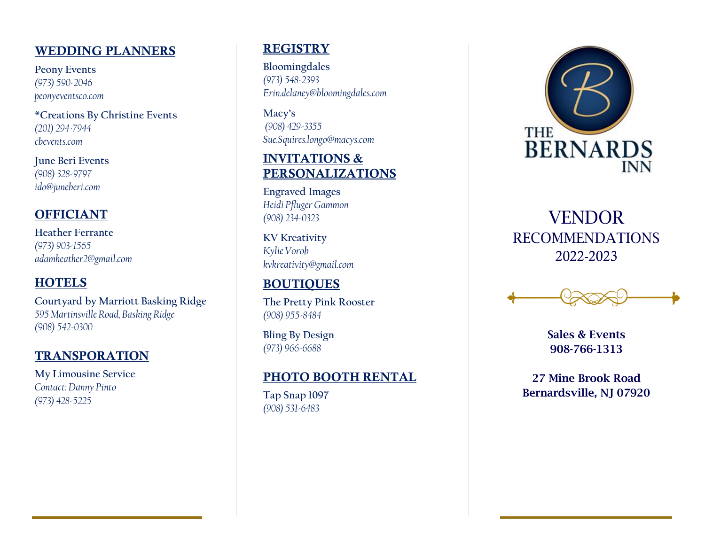#### WEDDING PLANNERS

**Peony Events** *(973) 590 -2046 peonyeventsco.com*

**\*Creations By Christine Events** *(201) 294 -7944 cbevents.com*

**June Beri Events** *(908) 328 -9797 ido@juneberi.com*

# OFFICIANT

**Heather Ferrante** *(973) 903 -1565 adamheather2@gmail.com*

## **HOTELS**

**Courtyard by Marriott Basking Ridge** *595 Martinsville Road, Basking Ridge (908) 542 -0300*

#### TRANSPORATION

**My Limousine Service** *Contact: Danny Pinto (973) 428 -5225*

## **REGISTRY**

**Bloomingdales** *(973) 548 -2393 Erin.delaney@bloomingdales.com*

**Macy's** *(908) 429 -3355 Sue.Squires.longo@macys.com*

## INVITATIONS & PERSONALIZATIONS

**Engraved Images** *Heidi Pfluger Gammon (908) 234 -0323*

**KV Kreativity** *Kylie Vorob kvkreativity@gmail.com*

# BOUTIQUES

**The Pretty Pink Rooster** *(908) 955 -8484*

**Bling By Design** *(973) 966 -6688*

## PHOTO BOOTH RENTAL

**Tap Snap 1097** *(908) 531 -6483* 



# Solution ido@juneberi.com<br>
(908) 328-9797<br>
(908) 328-9797<br>
Heather Ferrante<br>
(973) 903-1565<br>
Referrante (973) 903-1565<br>
adamheather 2@gmail.com<br>
RECOMMENDATIONS<br>
adamheather 2@gmail.com<br>
RECOMMENDATIONS<br>
EXPLAINT EXPLAINT VENDOR RECOMMENDATIONS 2022 -2023

Sales & Events 908 -766 -1313

27 Mine Brook Road Bernardsville, NJ 07920